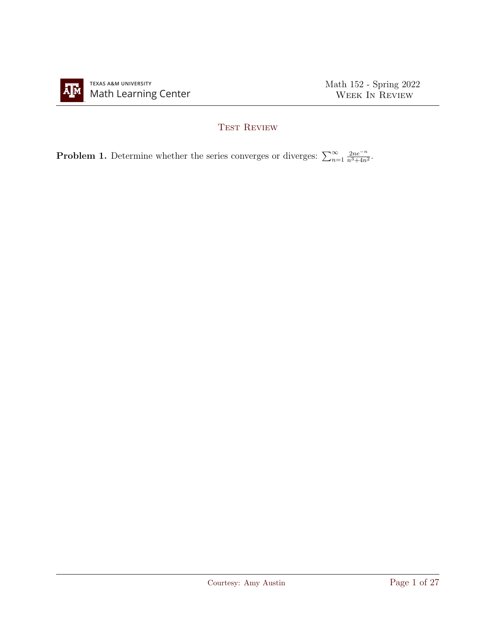

## TEST REVIEW

**Problem 1.** Determine whether the series converges or diverges:  $\sum_{n=1}^{\infty}$  $2ne^{-n}$  $\frac{2ne^{-n}}{n^3+4n^2}$ .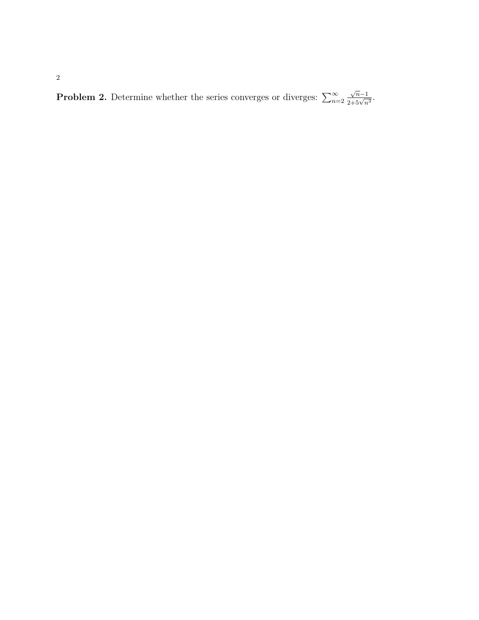**Problem 2.** Determine whether the series converges or diverges:  $\sum_{n=2}^{\infty}$  $\frac{\sqrt{n}-1}{2+5\sqrt{n^3}}$ .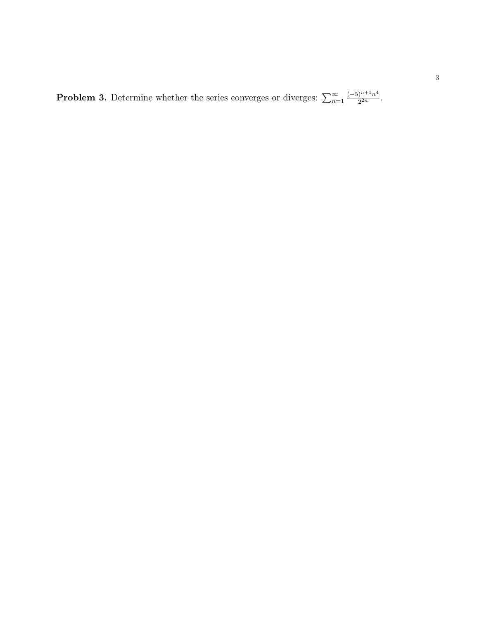**Problem 3.** Determine whether the series converges or diverges:  $\sum_{n=1}^{\infty}$  $(-5)^{n+1}n^4$  $\frac{1}{2^{2n}}$ .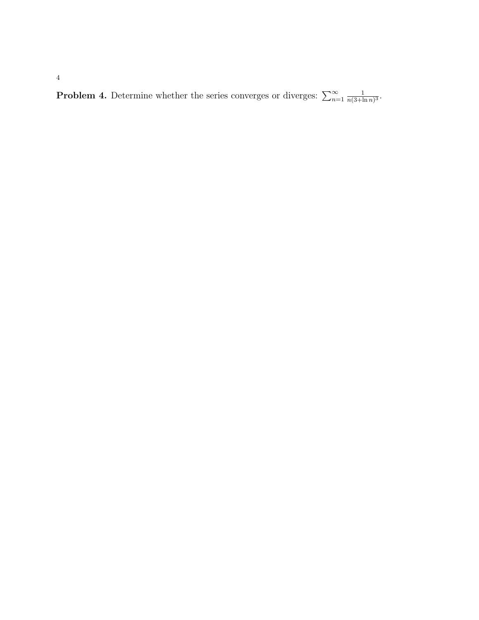**Problem 4.** Determine whether the series converges or diverges:  $\sum_{n=1}^{\infty}$ 1  $\frac{1}{n(3+\ln n)^3}$ .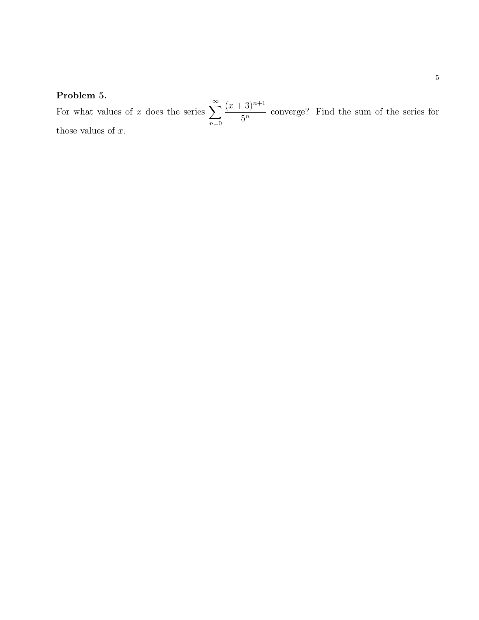## Problem 5.

For what values of x does the series  $\sum_{n=1}^{\infty}$  $n=0$  $(x+3)^{n+1}$  $rac{3}{5^n}$  converge? Find the sum of the series for those values of  $x$ .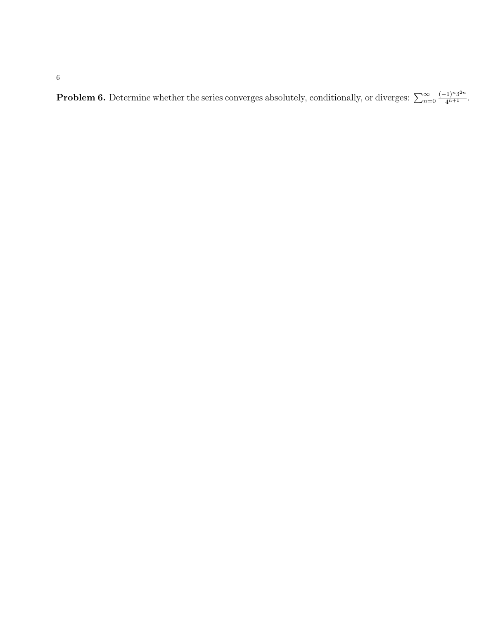6

**Problem 6.** Determine whether the series converges absolutely, conditionally, or diverges:  $\sum_{n=0}^{\infty}$  $\frac{(-1)^n 3^{2n}}{4^{n+1}}$ .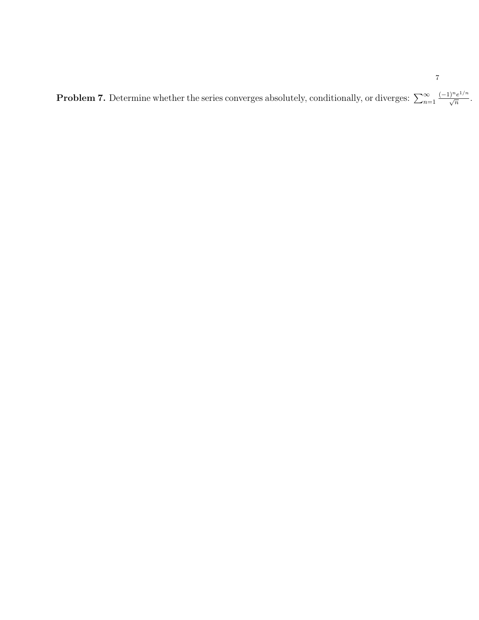**Problem 7.** Determine whether the series converges absolutely, conditionally, or diverges:  $\sum_{n=1}^{\infty}$  $\frac{(-1)^n e^{1/n}}{\sqrt{n}}.$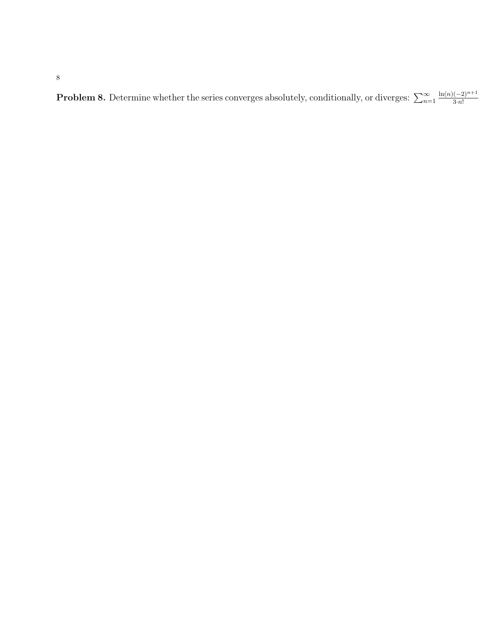8

**Problem 8.** Determine whether the series converges absolutely, conditionally, or diverges:  $\sum_{n=1}^{\infty}$  $ln(n)(-2)^{n+1}$ 3·n!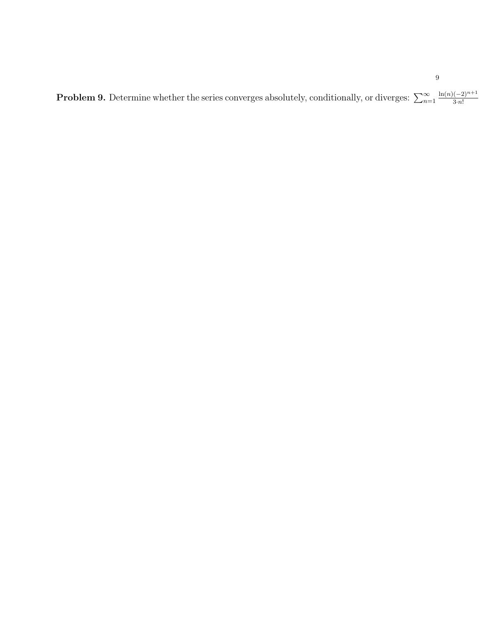**Problem 9.** Determine whether the series converges absolutely, conditionally, or diverges:  $\sum_{n=1}^{\infty}$  $ln(n)(-2)^{n+1}$ 3·n!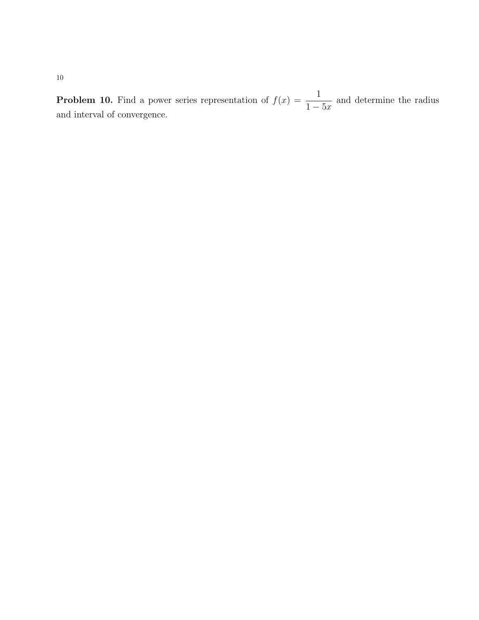**Problem 10.** Find a power series representation of  $f(x) = \frac{1}{1-x^2}$  $1-5x$ and determine the radius and interval of convergence.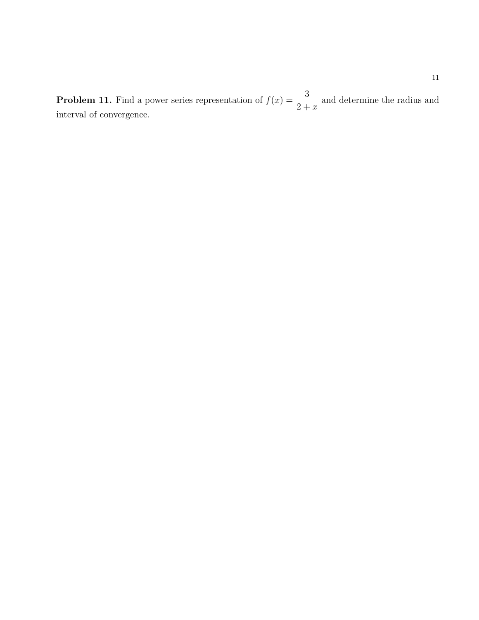**Problem 11.** Find a power series representation of  $f(x) = \frac{3}{2!}$  $2 + x$ and determine the radius and interval of convergence.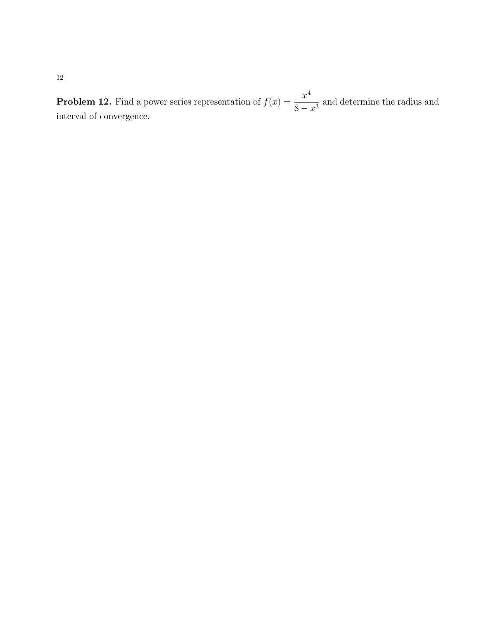**Problem 12.** Find a power series representation of  $f(x) = \frac{x^4}{2}$  $\frac{x}{8-x^3}$  and determine the radius and interval of convergence.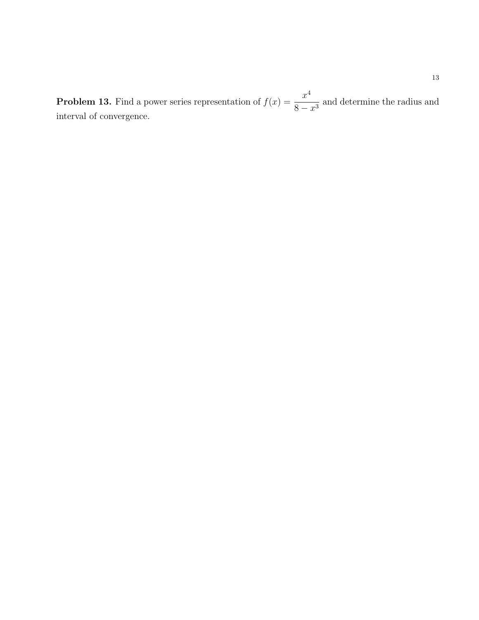**Problem 13.** Find a power series representation of  $f(x) = \frac{x^4}{2}$  $\frac{x}{8-x^3}$  and determine the radius and interval of convergence.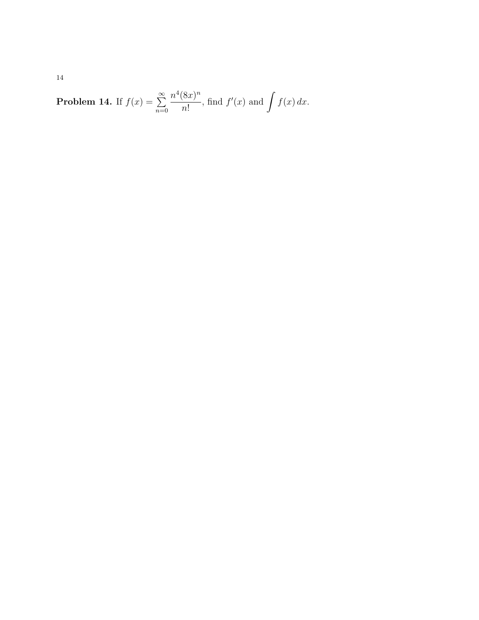**Problem 14.** If 
$$
f(x) = \sum_{n=0}^{\infty} \frac{n^4 (8x)^n}{n!}
$$
, find  $f'(x)$  and  $\int f(x) dx$ .

14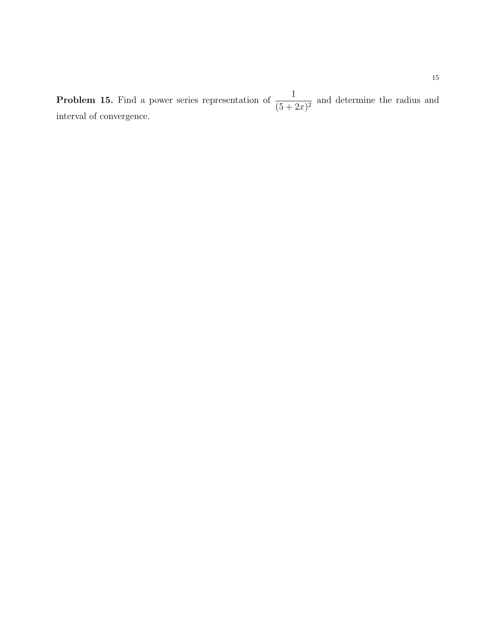**Problem 15.** Find a power series representation of  $\frac{1}{15}$  $\frac{1}{(5+2x)^2}$  and determine the radius and interval of convergence.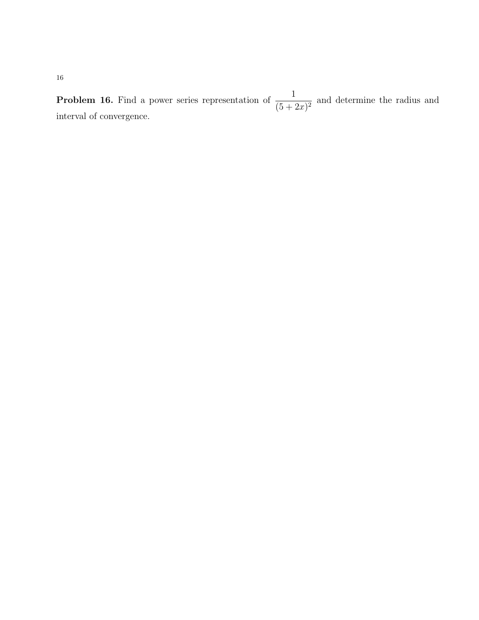**Problem 16.** Find a power series representation of  $\frac{1}{15}$  $\frac{1}{(5+2x)^2}$  and determine the radius and interval of convergence.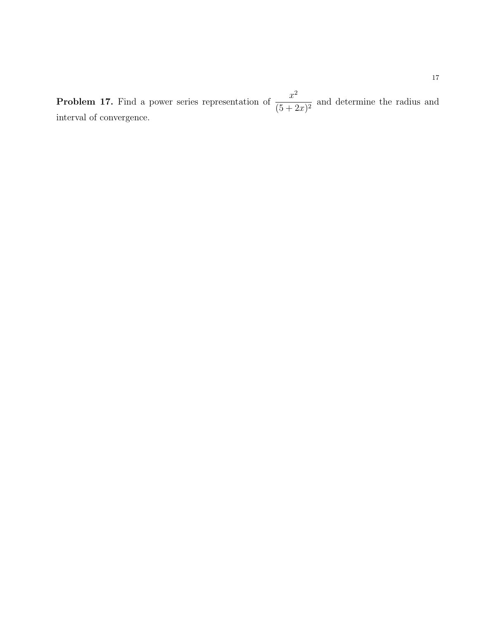**Problem 17.** Find a power series representation of  $\frac{x^2}{\sqrt{5-x^2}}$  $\frac{x}{(5+2x)^2}$  and determine the radius and interval of convergence.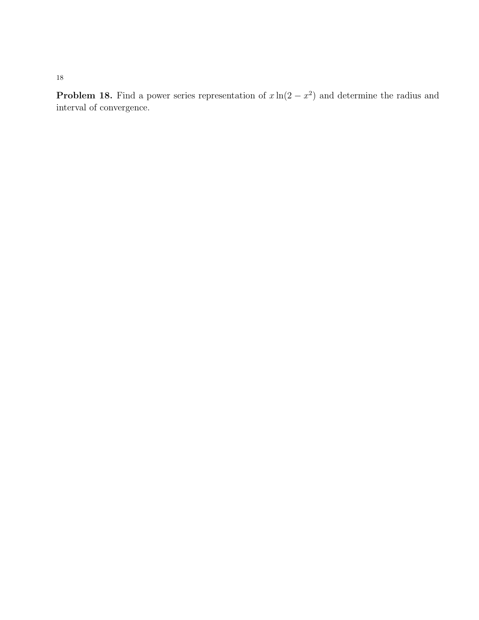**Problem 18.** Find a power series representation of  $x \ln(2 - x^2)$  and determine the radius and interval of convergence.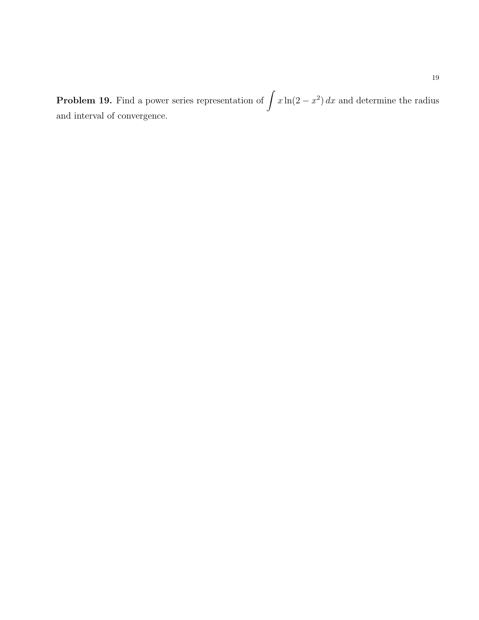**Problem 19.** Find a power series representation of  $\int x \ln(2 - x^2) dx$  and determine the radius and interval of convergence.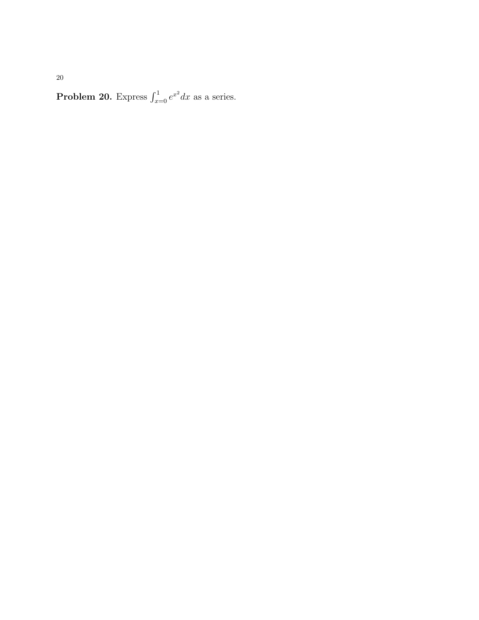**Problem 20.** Express  $\int_{x=0}^{1} e^{x^2} dx$  as a series.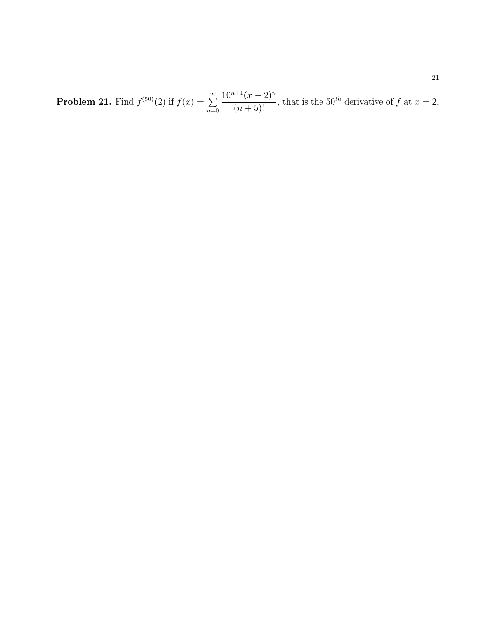**Problem 21.** Find  $f^{(50)}(2)$  if  $f(x) = \sum_{n=1}^{\infty}$  $n=0$  $10^{n+1}(x-2)^n$  $\frac{(x-2)}{(n+5)!}$ , that is the 50<sup>th</sup> derivative of f at  $x=2$ .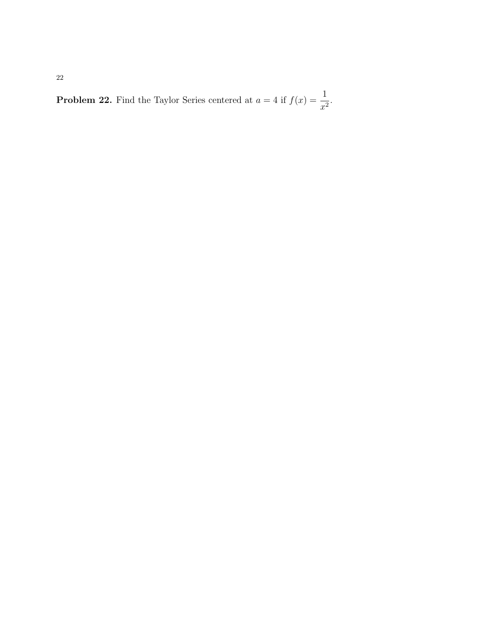**Problem 22.** Find the Taylor Series centered at  $a = 4$  if  $f(x) = \frac{1}{4}$  $\frac{1}{x^2}$ .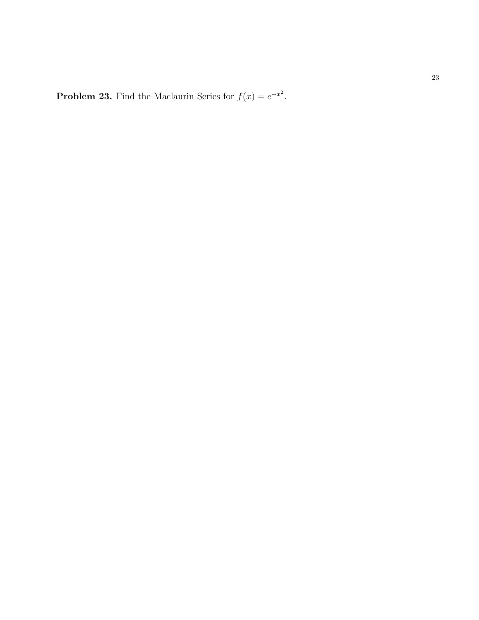**Problem 23.** Find the Maclaurin Series for  $f(x) = e^{-x^2}$ .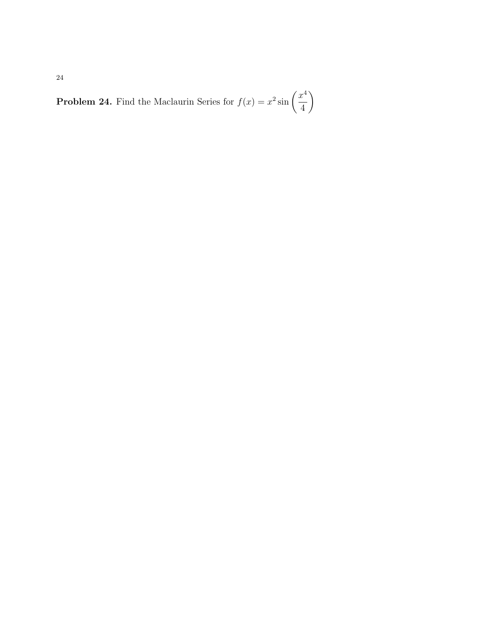**Problem 24.** Find the Maclaurin Series for  $f(x) = x^2 \sin \left( \frac{x^4}{4} \right)$ 4  $\setminus$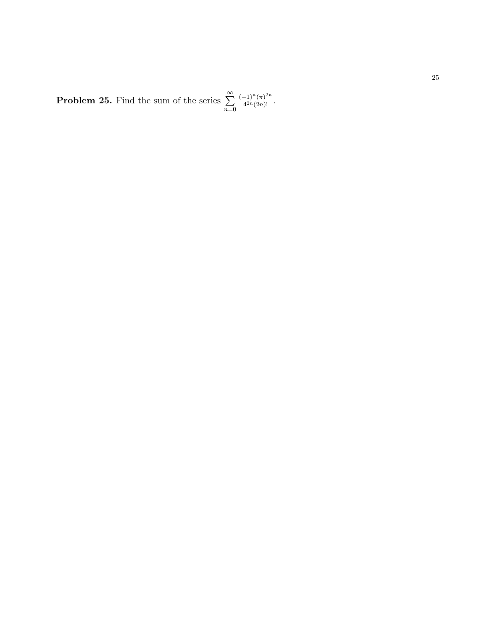**Problem 25.** Find the sum of the series  $\sum^{\infty}$  $n=0$  $(-1)^n (\pi)^{2n}$  $\frac{-1)^{n}(\pi)^{2n}}{4^{2n}(2n)!}$ .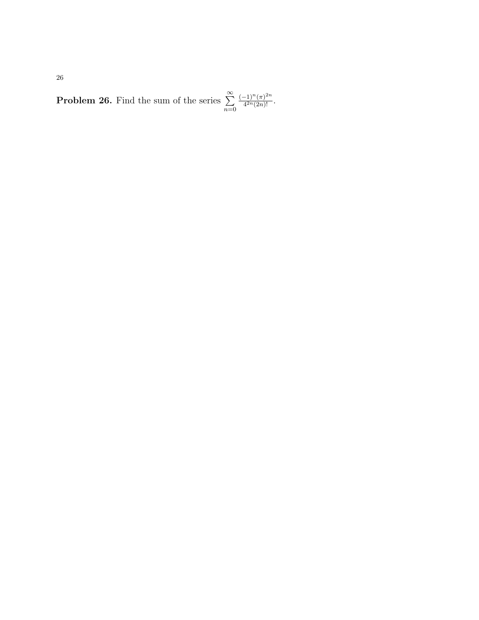**Problem 26.** Find the sum of the series  $\sum^{\infty}$  $n=0$  $(-1)^n (\pi)^{2n}$  $\frac{-1)^{n}(\pi)^{-n}}{4^{2n}(2n)!}$ .